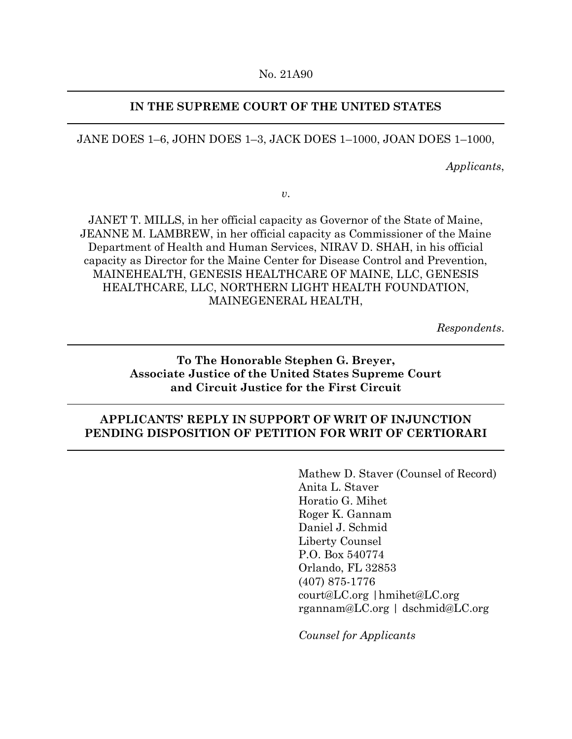### **IN THE SUPREME COURT OF THE UNITED STATES**

JANE DOES 1–6, JOHN DOES 1–3, JACK DOES 1–1000, JOAN DOES 1–1000,

*Applicants*,

*v*.

JANET T. MILLS, in her official capacity as Governor of the State of Maine, JEANNE M. LAMBREW, in her official capacity as Commissioner of the Maine Department of Health and Human Services, NIRAV D. SHAH, in his official capacity as Director for the Maine Center for Disease Control and Prevention, MAINEHEALTH, GENESIS HEALTHCARE OF MAINE, LLC, GENESIS HEALTHCARE, LLC, NORTHERN LIGHT HEALTH FOUNDATION, MAINEGENERAL HEALTH,

*Respondents*.

## **To The Honorable Stephen G. Breyer, Associate Justice of the United States Supreme Court and Circuit Justice for the First Circuit**

## **APPLICANTS' REPLY IN SUPPORT OF WRIT OF INJUNCTION PENDING DISPOSITION OF PETITION FOR WRIT OF CERTIORARI**

Mathew D. Staver (Counsel of Record) Anita L. Staver Horatio G. Mihet Roger K. Gannam Daniel J. Schmid Liberty Counsel P.O. Box 540774 Orlando, FL 32853 (407) 875-1776 court@LC.org |hmihet@LC.org rgannam@LC.org | dschmid@LC.org

*Counsel for Applicants*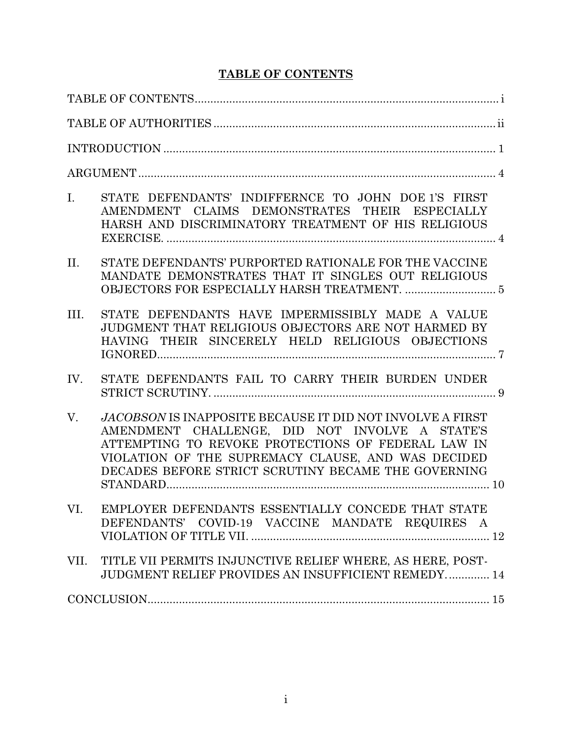## **TABLE OF CONTENTS**

| STATE DEFENDANTS' INDIFFERNCE TO JOHN DOE 1'S FIRST<br>I.<br>AMENDMENT CLAIMS DEMONSTRATES THEIR ESPECIALLY<br>HARSH AND DISCRIMINATORY TREATMENT OF HIS RELIGIOUS                                                                                                                   |  |
|--------------------------------------------------------------------------------------------------------------------------------------------------------------------------------------------------------------------------------------------------------------------------------------|--|
| II.<br>STATE DEFENDANTS' PURPORTED RATIONALE FOR THE VACCINE<br>MANDATE DEMONSTRATES THAT IT SINGLES OUT RELIGIOUS                                                                                                                                                                   |  |
| STATE DEFENDANTS HAVE IMPERMISSIBLY MADE A VALUE<br>$\Pi$ .<br>JUDGMENT THAT RELIGIOUS OBJECTORS ARE NOT HARMED BY<br>HAVING THEIR SINCERELY HELD RELIGIOUS OBJECTIONS                                                                                                               |  |
| STATE DEFENDANTS FAIL TO CARRY THEIR BURDEN UNDER<br>IV.                                                                                                                                                                                                                             |  |
| V.<br>JACOBSON IS INAPPOSITE BECAUSE IT DID NOT INVOLVE A FIRST<br>AMENDMENT CHALLENGE, DID NOT INVOLVE A STATE'S<br>ATTEMPTING TO REVOKE PROTECTIONS OF FEDERAL LAW IN<br>VIOLATION OF THE SUPREMACY CLAUSE, AND WAS DECIDED<br>DECADES BEFORE STRICT SCRUTINY BECAME THE GOVERNING |  |
| VI. EMPLOYER DEFENDANTS ESSENTIALLY CONCEDE THAT STATE<br>DEFENDANTS' COVID-19 VACCINE MANDATE REQUIRES A                                                                                                                                                                            |  |
| TITLE VII PERMITS INJUNCTIVE RELIEF WHERE, AS HERE, POST-<br>VII.<br>JUDGMENT RELIEF PROVIDES AN INSUFFICIENT REMEDY 14                                                                                                                                                              |  |
| $\textbf{CONCLUSION}.\textcolor{red}{\textbf{15}}$                                                                                                                                                                                                                                   |  |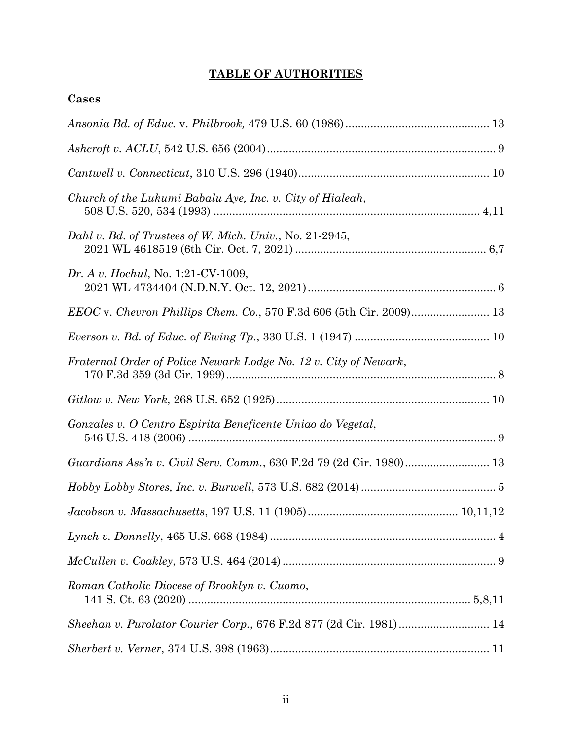## **TABLE OF AUTHORITIES**

| <b>Cases</b>                                                        |  |
|---------------------------------------------------------------------|--|
|                                                                     |  |
|                                                                     |  |
|                                                                     |  |
| Church of the Lukumi Babalu Aye, Inc. v. City of Hialeah,           |  |
| Dahl v. Bd. of Trustees of W. Mich. Univ., No. 21-2945,             |  |
| Dr. A v. Hochul, No. 1:21-CV-1009,                                  |  |
|                                                                     |  |
|                                                                     |  |
| Fraternal Order of Police Newark Lodge No. 12 v. City of Newark,    |  |
|                                                                     |  |
| Gonzales v. O Centro Espirita Beneficente Uniao do Vegetal,         |  |
| Guardians Ass'n v. Civil Serv. Comm., 630 F.2d 79 (2d Cir. 1980) 13 |  |
|                                                                     |  |
|                                                                     |  |
|                                                                     |  |
|                                                                     |  |
| Roman Catholic Diocese of Brooklyn v. Cuomo,                        |  |
|                                                                     |  |
|                                                                     |  |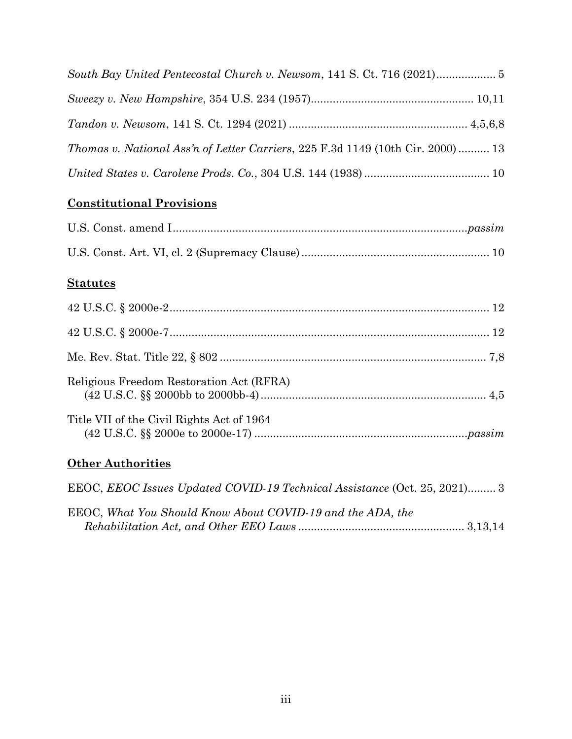| <i>Thomas v. National Ass'n of Letter Carriers, 225 F.3d 1149 (10th Cir. 2000)  13</i> |  |
|----------------------------------------------------------------------------------------|--|
|                                                                                        |  |

# **Constitutional Provisions**

## **Statutes**

| Religious Freedom Restoration Act (RFRA)  |  |
|-------------------------------------------|--|
| Title VII of the Civil Rights Act of 1964 |  |

## **Other Authorities**

| EEOC, EEOC Issues Updated COVID-19 Technical Assistance (Oct. 25, 2021) 3 |  |
|---------------------------------------------------------------------------|--|
| EEOC, What You Should Know About COVID-19 and the ADA, the                |  |
|                                                                           |  |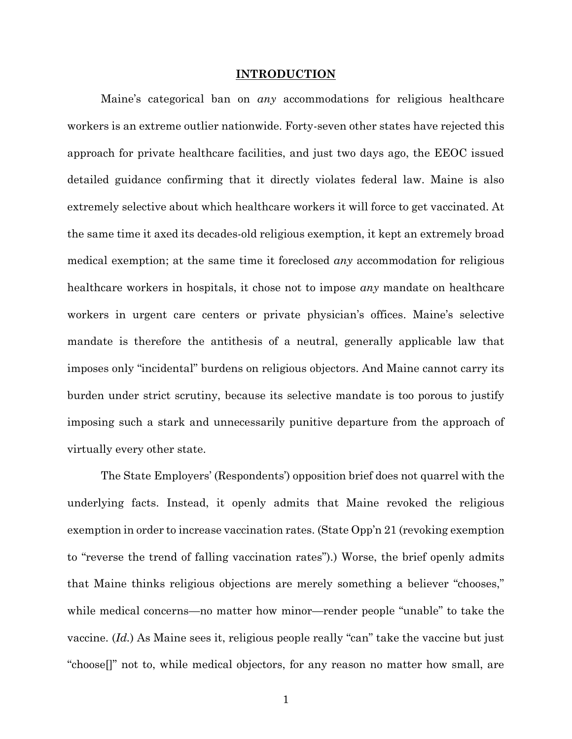#### **INTRODUCTION**

Maine's categorical ban on *any* accommodations for religious healthcare workers is an extreme outlier nationwide. Forty-seven other states have rejected this approach for private healthcare facilities, and just two days ago, the EEOC issued detailed guidance confirming that it directly violates federal law. Maine is also extremely selective about which healthcare workers it will force to get vaccinated. At the same time it axed its decades-old religious exemption, it kept an extremely broad medical exemption; at the same time it foreclosed *any* accommodation for religious healthcare workers in hospitals, it chose not to impose *any* mandate on healthcare workers in urgent care centers or private physician's offices. Maine's selective mandate is therefore the antithesis of a neutral, generally applicable law that imposes only "incidental" burdens on religious objectors. And Maine cannot carry its burden under strict scrutiny, because its selective mandate is too porous to justify imposing such a stark and unnecessarily punitive departure from the approach of virtually every other state.

The State Employers' (Respondents') opposition brief does not quarrel with the underlying facts. Instead, it openly admits that Maine revoked the religious exemption in order to increase vaccination rates. (State Opp'n 21 (revoking exemption to "reverse the trend of falling vaccination rates").) Worse, the brief openly admits that Maine thinks religious objections are merely something a believer "chooses," while medical concerns—no matter how minor—render people "unable" to take the vaccine. (*Id.*) As Maine sees it, religious people really "can" take the vaccine but just "choose[]" not to, while medical objectors, for any reason no matter how small, are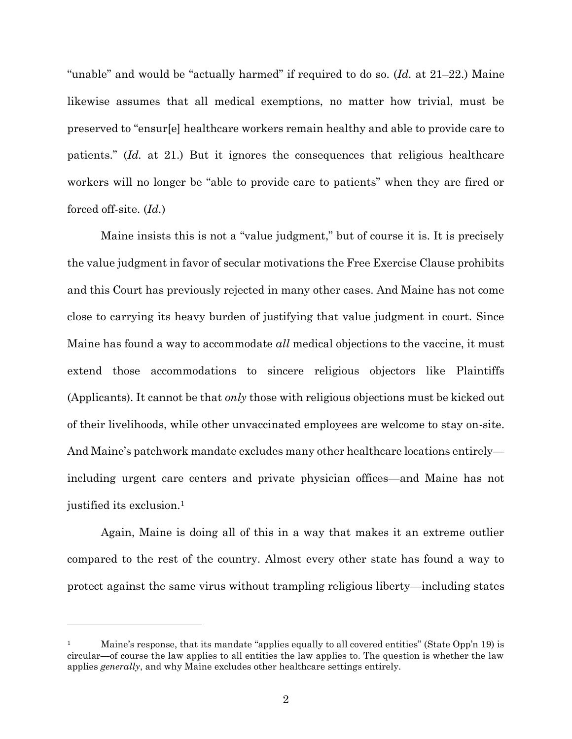"unable" and would be "actually harmed" if required to do so. (*Id.* at 21–22.) Maine likewise assumes that all medical exemptions, no matter how trivial, must be preserved to "ensur[e] healthcare workers remain healthy and able to provide care to patients." (*Id.* at 21.) But it ignores the consequences that religious healthcare workers will no longer be "able to provide care to patients" when they are fired or forced off-site. (*Id.*)

Maine insists this is not a "value judgment," but of course it is. It is precisely the value judgment in favor of secular motivations the Free Exercise Clause prohibits and this Court has previously rejected in many other cases. And Maine has not come close to carrying its heavy burden of justifying that value judgment in court. Since Maine has found a way to accommodate *all* medical objections to the vaccine, it must extend those accommodations to sincere religious objectors like Plaintiffs (Applicants). It cannot be that *only* those with religious objections must be kicked out of their livelihoods, while other unvaccinated employees are welcome to stay on-site. And Maine's patchwork mandate excludes many other healthcare locations entirely including urgent care centers and private physician offices—and Maine has not justified its exclusion.<sup>1</sup>

Again, Maine is doing all of this in a way that makes it an extreme outlier compared to the rest of the country. Almost every other state has found a way to protect against the same virus without trampling religious liberty—including states

<sup>1</sup> Maine's response, that its mandate "applies equally to all covered entities" (State Opp'n 19) is circular—of course the law applies to all entities the law applies to. The question is whether the law applies *generally*, and why Maine excludes other healthcare settings entirely.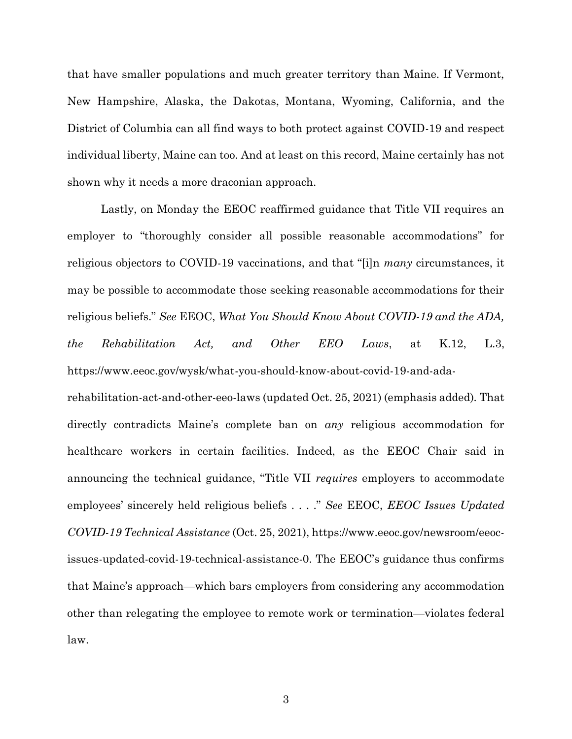that have smaller populations and much greater territory than Maine. If Vermont, New Hampshire, Alaska, the Dakotas, Montana, Wyoming, California, and the District of Columbia can all find ways to both protect against COVID-19 and respect individual liberty, Maine can too. And at least on this record, Maine certainly has not shown why it needs a more draconian approach.

Lastly, on Monday the EEOC reaffirmed guidance that Title VII requires an employer to "thoroughly consider all possible reasonable accommodations" for religious objectors to COVID-19 vaccinations, and that "[i]n *many* circumstances, it may be possible to accommodate those seeking reasonable accommodations for their religious beliefs." *See* EEOC, *What You Should Know About COVID-19 and the ADA, the Rehabilitation Act, and Other EEO Laws*, at K.12, L.3, https://www.eeoc.gov/wysk/what-you-should-know-about-covid-19-and-ada-

rehabilitation-act-and-other-eeo-laws (updated Oct. 25, 2021) (emphasis added)*.* That directly contradicts Maine's complete ban on *any* religious accommodation for healthcare workers in certain facilities. Indeed, as the EEOC Chair said in announcing the technical guidance, "Title VII *requires* employers to accommodate employees' sincerely held religious beliefs . . . ." *See* EEOC, *EEOC Issues Updated COVID-19 Technical Assistance* (Oct. 25, 2021), https://www.eeoc.gov/newsroom/eeocissues-updated-covid-19-technical-assistance-0. The EEOC's guidance thus confirms that Maine's approach—which bars employers from considering any accommodation other than relegating the employee to remote work or termination—violates federal law.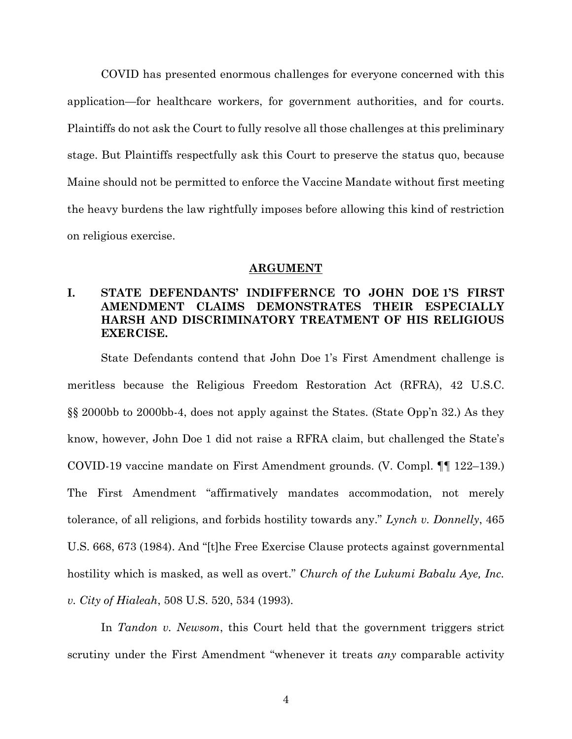COVID has presented enormous challenges for everyone concerned with this application—for healthcare workers, for government authorities, and for courts. Plaintiffs do not ask the Court to fully resolve all those challenges at this preliminary stage. But Plaintiffs respectfully ask this Court to preserve the status quo, because Maine should not be permitted to enforce the Vaccine Mandate without first meeting the heavy burdens the law rightfully imposes before allowing this kind of restriction on religious exercise.

#### **ARGUMENT**

## **I. STATE DEFENDANTS' INDIFFERNCE TO JOHN DOE 1'S FIRST AMENDMENT CLAIMS DEMONSTRATES THEIR ESPECIALLY HARSH AND DISCRIMINATORY TREATMENT OF HIS RELIGIOUS EXERCISE.**

State Defendants contend that John Doe 1's First Amendment challenge is meritless because the Religious Freedom Restoration Act (RFRA), 42 U.S.C. §§ 2000bb to 2000bb-4, does not apply against the States. (State Opp'n 32.) As they know, however, John Doe 1 did not raise a RFRA claim, but challenged the State's COVID-19 vaccine mandate on First Amendment grounds. (V. Compl. ¶¶ 122–139.) The First Amendment "affirmatively mandates accommodation, not merely tolerance, of all religions, and forbids hostility towards any." *Lynch v. Donnelly*, 465 U.S. 668, 673 (1984). And "[t]he Free Exercise Clause protects against governmental hostility which is masked, as well as overt." *Church of the Lukumi Babalu Aye, Inc. v. City of Hialeah*, 508 U.S. 520, 534 (1993).

In *Tandon v. Newsom*, this Court held that the government triggers strict scrutiny under the First Amendment "whenever it treats *any* comparable activity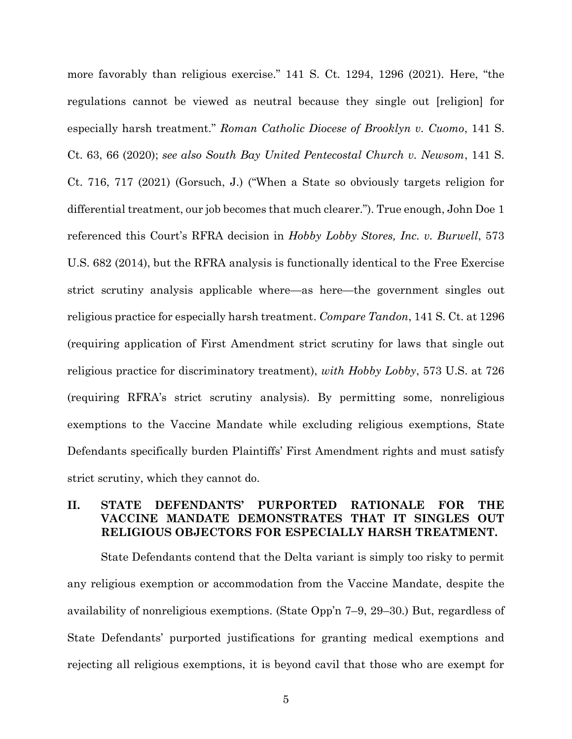more favorably than religious exercise." 141 S. Ct. 1294, 1296 (2021). Here, "the regulations cannot be viewed as neutral because they single out [religion] for especially harsh treatment." *Roman Catholic Diocese of Brooklyn v. Cuomo*, 141 S. Ct. 63, 66 (2020); *see also South Bay United Pentecostal Church v. Newsom*, 141 S. Ct. 716, 717 (2021) (Gorsuch, J.) ("When a State so obviously targets religion for differential treatment, our job becomes that much clearer."). True enough, John Doe 1 referenced this Court's RFRA decision in *Hobby Lobby Stores, Inc. v. Burwell*, 573 U.S. 682 (2014), but the RFRA analysis is functionally identical to the Free Exercise strict scrutiny analysis applicable where—as here—the government singles out religious practice for especially harsh treatment. *Compare Tandon*, 141 S. Ct. at 1296 (requiring application of First Amendment strict scrutiny for laws that single out religious practice for discriminatory treatment), *with Hobby Lobby*, 573 U.S. at 726 (requiring RFRA's strict scrutiny analysis). By permitting some, nonreligious exemptions to the Vaccine Mandate while excluding religious exemptions, State Defendants specifically burden Plaintiffs' First Amendment rights and must satisfy strict scrutiny, which they cannot do.

## **II. STATE DEFENDANTS' PURPORTED RATIONALE FOR THE VACCINE MANDATE DEMONSTRATES THAT IT SINGLES OUT RELIGIOUS OBJECTORS FOR ESPECIALLY HARSH TREATMENT.**

State Defendants contend that the Delta variant is simply too risky to permit any religious exemption or accommodation from the Vaccine Mandate, despite the availability of nonreligious exemptions. (State Opp'n 7–9, 29–30.) But, regardless of State Defendants' purported justifications for granting medical exemptions and rejecting all religious exemptions, it is beyond cavil that those who are exempt for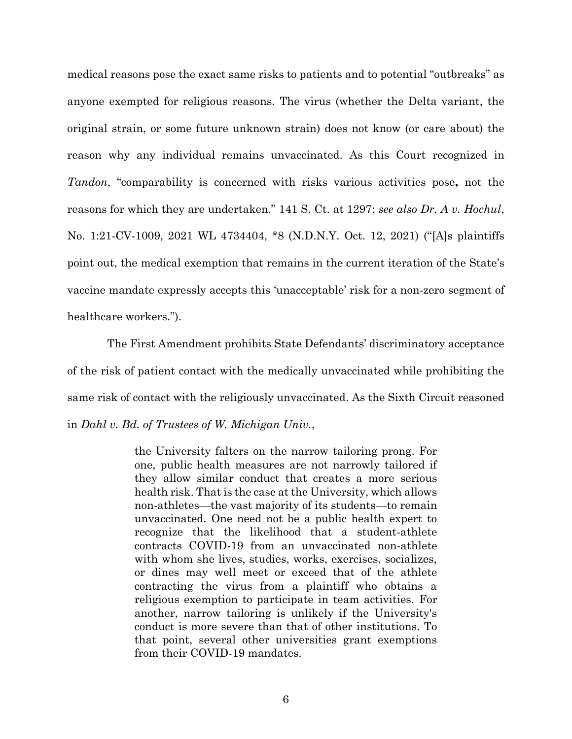medical reasons pose the exact same risks to patients and to potential "outbreaks" as anyone exempted for religious reasons. The virus (whether the Delta variant, the original strain, or some future unknown strain) does not know (or care about) the reason why any individual remains unvaccinated. As this Court recognized in *Tandon*, "comparability is concerned with risks various activities pose**,** not the reasons for which they are undertaken." 141 S. Ct. at 1297; *see also Dr. A v. Hochul*, No. 1:21-CV-1009, 2021 WL 4734404, \*8 (N.D.N.Y. Oct. 12, 2021) ("[A]s plaintiffs point out, the medical exemption that remains in the current iteration of the State's vaccine mandate expressly accepts this 'unacceptable' risk for a non-zero segment of healthcare workers.").

 The First Amendment prohibits State Defendants' discriminatory acceptance of the risk of patient contact with the medically unvaccinated while prohibiting the same risk of contact with the religiously unvaccinated. As the Sixth Circuit reasoned in *Dahl v. Bd. of Trustees of W. Michigan Univ.*,

> the University falters on the narrow tailoring prong. For one, public health measures are not narrowly tailored if they allow similar conduct that creates a more serious health risk. That is the case at the University, which allows non-athletes—the vast majority of its students—to remain unvaccinated. One need not be a public health expert to recognize that the likelihood that a student-athlete contracts COVID-19 from an unvaccinated non-athlete with whom she lives, studies, works, exercises, socializes, or dines may well meet or exceed that of the athlete contracting the virus from a plaintiff who obtains a religious exemption to participate in team activities. For another, narrow tailoring is unlikely if the University's conduct is more severe than that of other institutions. To that point, several other universities grant exemptions from their COVID-19 mandates.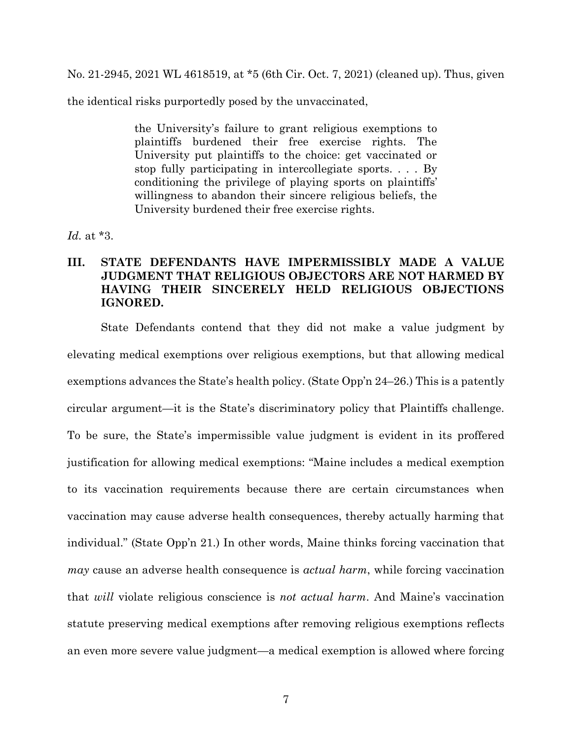No. 21-2945, 2021 WL 4618519, at \*5 (6th Cir. Oct. 7, 2021) (cleaned up). Thus, given

the identical risks purportedly posed by the unvaccinated,

the University's failure to grant religious exemptions to plaintiffs burdened their free exercise rights. The University put plaintiffs to the choice: get vaccinated or stop fully participating in intercollegiate sports. . . . By conditioning the privilege of playing sports on plaintiffs' willingness to abandon their sincere religious beliefs, the University burdened their free exercise rights.

*Id.* at \*3.

## **III. STATE DEFENDANTS HAVE IMPERMISSIBLY MADE A VALUE JUDGMENT THAT RELIGIOUS OBJECTORS ARE NOT HARMED BY HAVING THEIR SINCERELY HELD RELIGIOUS OBJECTIONS IGNORED.**

State Defendants contend that they did not make a value judgment by elevating medical exemptions over religious exemptions, but that allowing medical exemptions advances the State's health policy. (State Opp'n 24–26.) This is a patently circular argument—it is the State's discriminatory policy that Plaintiffs challenge. To be sure, the State's impermissible value judgment is evident in its proffered justification for allowing medical exemptions: "Maine includes a medical exemption to its vaccination requirements because there are certain circumstances when vaccination may cause adverse health consequences, thereby actually harming that individual." (State Opp'n 21.) In other words, Maine thinks forcing vaccination that *may* cause an adverse health consequence is *actual harm*, while forcing vaccination that *will* violate religious conscience is *not actual harm*. And Maine's vaccination statute preserving medical exemptions after removing religious exemptions reflects an even more severe value judgment—a medical exemption is allowed where forcing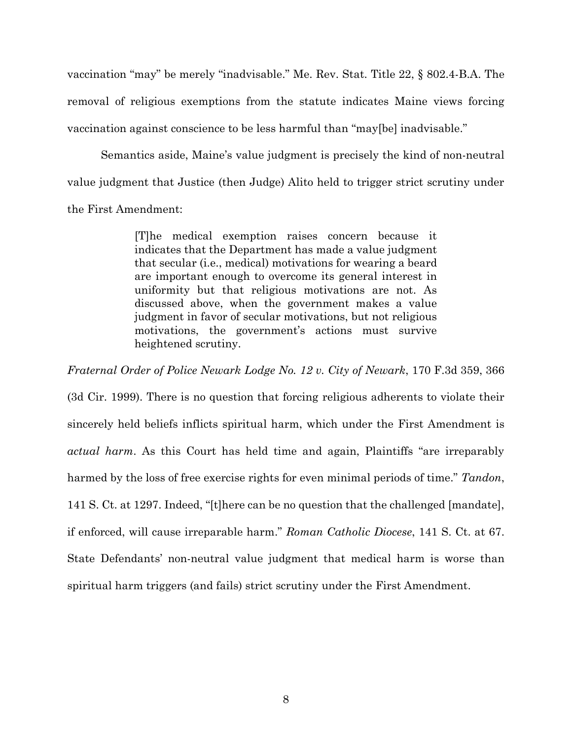vaccination "may" be merely "inadvisable." Me. Rev. Stat. Title 22, § 802.4-B.A. The removal of religious exemptions from the statute indicates Maine views forcing vaccination against conscience to be less harmful than "may[be] inadvisable."

Semantics aside, Maine's value judgment is precisely the kind of non-neutral value judgment that Justice (then Judge) Alito held to trigger strict scrutiny under the First Amendment:

> [T]he medical exemption raises concern because it indicates that the Department has made a value judgment that secular (i.e., medical) motivations for wearing a beard are important enough to overcome its general interest in uniformity but that religious motivations are not. As discussed above, when the government makes a value judgment in favor of secular motivations, but not religious motivations, the government's actions must survive heightened scrutiny.

*Fraternal Order of Police Newark Lodge No. 12 v. City of Newark*, 170 F.3d 359, 366

(3d Cir. 1999). There is no question that forcing religious adherents to violate their sincerely held beliefs inflicts spiritual harm, which under the First Amendment is *actual harm*. As this Court has held time and again, Plaintiffs "are irreparably harmed by the loss of free exercise rights for even minimal periods of time." *Tandon*, 141 S. Ct. at 1297. Indeed, "[t]here can be no question that the challenged [mandate], if enforced, will cause irreparable harm." *Roman Catholic Diocese*, 141 S. Ct. at 67. State Defendants' non-neutral value judgment that medical harm is worse than spiritual harm triggers (and fails) strict scrutiny under the First Amendment.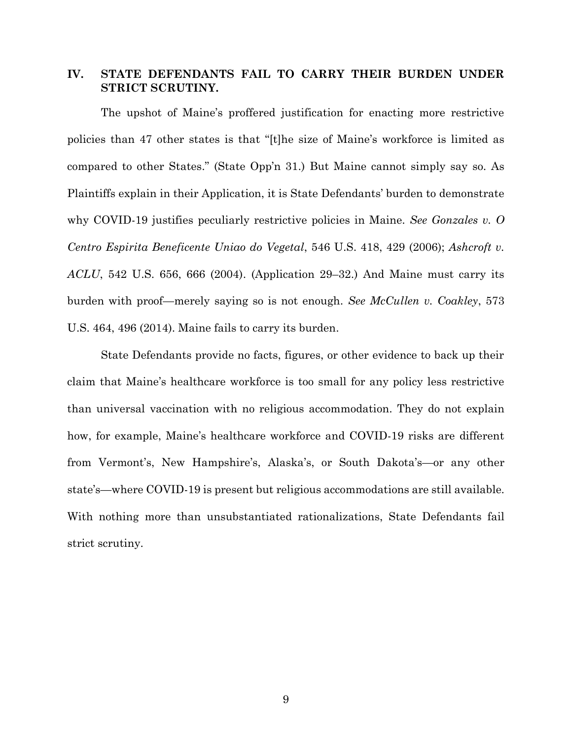### **IV. STATE DEFENDANTS FAIL TO CARRY THEIR BURDEN UNDER STRICT SCRUTINY.**

The upshot of Maine's proffered justification for enacting more restrictive policies than 47 other states is that "[t]he size of Maine's workforce is limited as compared to other States." (State Opp'n 31.) But Maine cannot simply say so. As Plaintiffs explain in their Application, it is State Defendants' burden to demonstrate why COVID-19 justifies peculiarly restrictive policies in Maine. *See Gonzales v. O Centro Espirita Beneficente Uniao do Vegetal*, 546 U.S. 418, 429 (2006); *Ashcroft v. ACLU*, 542 U.S. 656, 666 (2004). (Application 29–32.) And Maine must carry its burden with proof—merely saying so is not enough. *See McCullen v. Coakley*, 573 U.S. 464, 496 (2014). Maine fails to carry its burden.

State Defendants provide no facts, figures, or other evidence to back up their claim that Maine's healthcare workforce is too small for any policy less restrictive than universal vaccination with no religious accommodation. They do not explain how, for example, Maine's healthcare workforce and COVID-19 risks are different from Vermont's, New Hampshire's, Alaska's, or South Dakota's—or any other state's—where COVID-19 is present but religious accommodations are still available. With nothing more than unsubstantiated rationalizations, State Defendants fail strict scrutiny.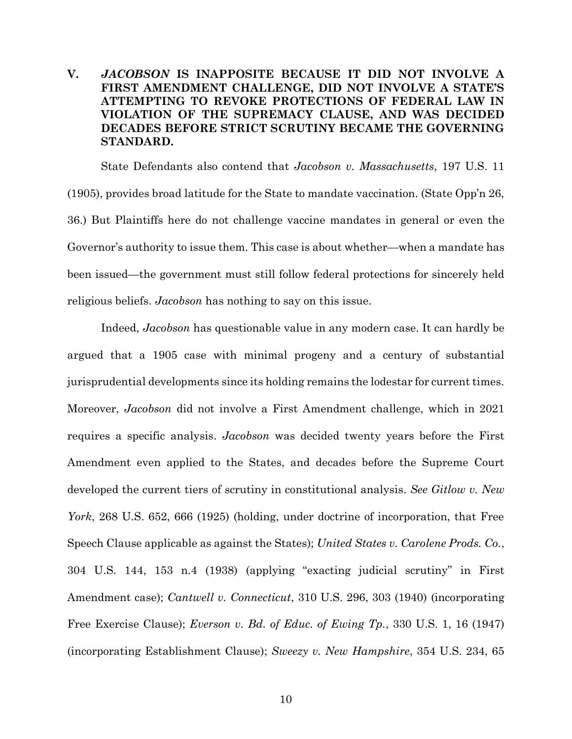## **V.** *JACOBSON* **IS INAPPOSITE BECAUSE IT DID NOT INVOLVE A FIRST AMENDMENT CHALLENGE, DID NOT INVOLVE A STATE'S ATTEMPTING TO REVOKE PROTECTIONS OF FEDERAL LAW IN VIOLATION OF THE SUPREMACY CLAUSE, AND WAS DECIDED DECADES BEFORE STRICT SCRUTINY BECAME THE GOVERNING STANDARD.**

State Defendants also contend that *Jacobson v. Massachusetts*, 197 U.S. 11 (1905), provides broad latitude for the State to mandate vaccination. (State Opp'n 26, 36.) But Plaintiffs here do not challenge vaccine mandates in general or even the Governor's authority to issue them. This case is about whether—when a mandate has been issued—the government must still follow federal protections for sincerely held religious beliefs. *Jacobson* has nothing to say on this issue.

Indeed, *Jacobson* has questionable value in any modern case. It can hardly be argued that a 1905 case with minimal progeny and a century of substantial jurisprudential developments since its holding remains the lodestar for current times. Moreover, *Jacobson* did not involve a First Amendment challenge, which in 2021 requires a specific analysis. *Jacobson* was decided twenty years before the First Amendment even applied to the States, and decades before the Supreme Court developed the current tiers of scrutiny in constitutional analysis. *See Gitlow v. New York*, 268 U.S. 652, 666 (1925) (holding, under doctrine of incorporation, that Free Speech Clause applicable as against the States); *United States v. Carolene Prods. Co.*, 304 U.S. 144, 153 n.4 (1938) (applying "exacting judicial scrutiny" in First Amendment case); *Cantwell v. Connecticut*, 310 U.S. 296, 303 (1940) (incorporating Free Exercise Clause); *Everson v. Bd. of Educ. of Ewing Tp.*, 330 U.S. 1, 16 (1947) (incorporating Establishment Clause); *Sweezy v. New Hampshire*, 354 U.S. 234, 65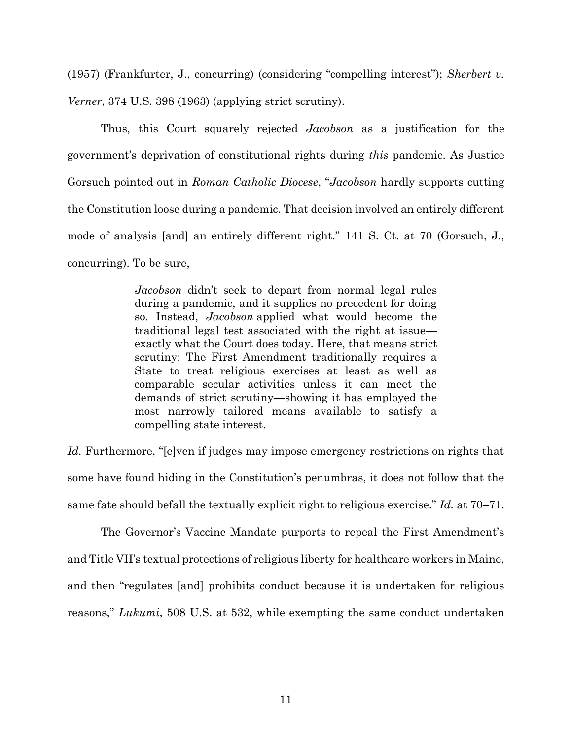(1957) (Frankfurter, J., concurring) (considering "compelling interest"); *Sherbert v. Verner*, 374 U.S. 398 (1963) (applying strict scrutiny).

Thus, this Court squarely rejected *Jacobson* as a justification for the government's deprivation of constitutional rights during *this* pandemic. As Justice Gorsuch pointed out in *Roman Catholic Diocese*, "*Jacobson* hardly supports cutting the Constitution loose during a pandemic. That decision involved an entirely different mode of analysis [and] an entirely different right." 141 S. Ct. at 70 (Gorsuch, J., concurring). To be sure,

> *Jacobson* didn't seek to depart from normal legal rules during a pandemic, and it supplies no precedent for doing so. Instead, *Jacobson* applied what would become the traditional legal test associated with the right at issue exactly what the Court does today. Here, that means strict scrutiny: The First Amendment traditionally requires a State to treat religious exercises at least as well as comparable secular activities unless it can meet the demands of strict scrutiny—showing it has employed the most narrowly tailored means available to satisfy a compelling state interest.

*Id.* Furthermore, "[e]ven if judges may impose emergency restrictions on rights that some have found hiding in the Constitution's penumbras, it does not follow that the same fate should befall the textually explicit right to religious exercise." *Id.* at 70–71.

The Governor's Vaccine Mandate purports to repeal the First Amendment's and Title VII's textual protections of religious liberty for healthcare workers in Maine, and then "regulates [and] prohibits conduct because it is undertaken for religious reasons," *Lukumi*, 508 U.S. at 532, while exempting the same conduct undertaken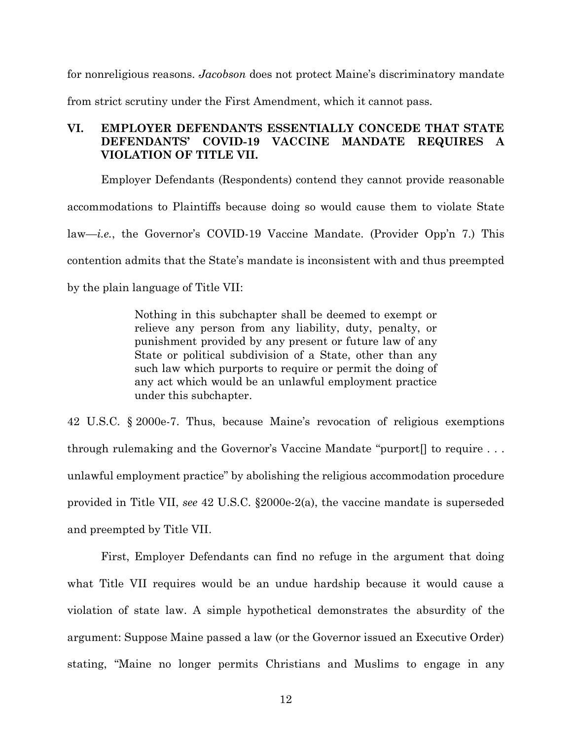for nonreligious reasons. *Jacobson* does not protect Maine's discriminatory mandate from strict scrutiny under the First Amendment, which it cannot pass.

## **VI. EMPLOYER DEFENDANTS ESSENTIALLY CONCEDE THAT STATE DEFENDANTS' COVID-19 VACCINE MANDATE REQUIRES A VIOLATION OF TITLE VII.**

Employer Defendants (Respondents) contend they cannot provide reasonable accommodations to Plaintiffs because doing so would cause them to violate State law—*i.e.*, the Governor's COVID-19 Vaccine Mandate. (Provider Opp'n 7.) This contention admits that the State's mandate is inconsistent with and thus preempted by the plain language of Title VII:

> Nothing in this subchapter shall be deemed to exempt or relieve any person from any liability, duty, penalty, or punishment provided by any present or future law of any State or political subdivision of a State, other than any such law which purports to require or permit the doing of any act which would be an unlawful employment practice under this subchapter.

42 U.S.C. § 2000e-7. Thus, because Maine's revocation of religious exemptions through rulemaking and the Governor's Vaccine Mandate "purport[] to require . . . unlawful employment practice" by abolishing the religious accommodation procedure provided in Title VII, *see* 42 U.S.C. §2000e-2(a), the vaccine mandate is superseded and preempted by Title VII.

First, Employer Defendants can find no refuge in the argument that doing what Title VII requires would be an undue hardship because it would cause a violation of state law. A simple hypothetical demonstrates the absurdity of the argument: Suppose Maine passed a law (or the Governor issued an Executive Order) stating, "Maine no longer permits Christians and Muslims to engage in any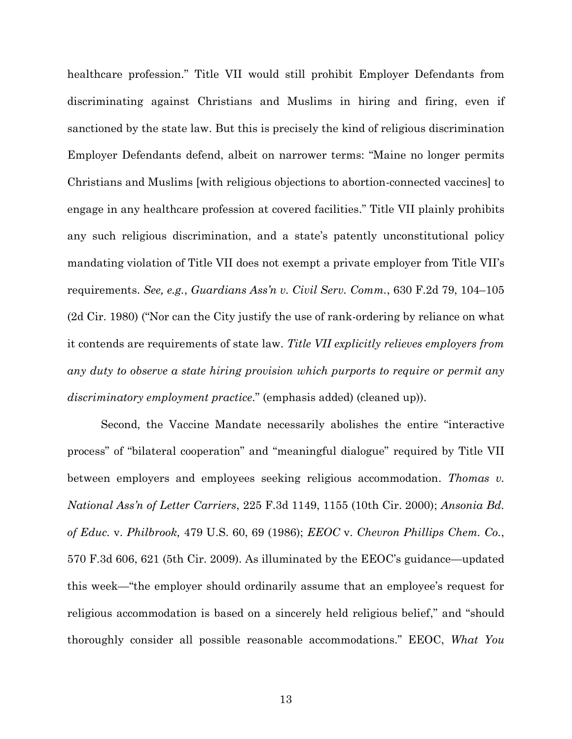healthcare profession." Title VII would still prohibit Employer Defendants from discriminating against Christians and Muslims in hiring and firing, even if sanctioned by the state law. But this is precisely the kind of religious discrimination Employer Defendants defend, albeit on narrower terms: "Maine no longer permits Christians and Muslims [with religious objections to abortion-connected vaccines] to engage in any healthcare profession at covered facilities." Title VII plainly prohibits any such religious discrimination, and a state's patently unconstitutional policy mandating violation of Title VII does not exempt a private employer from Title VII's requirements. *See, e.g.*, *Guardians Ass'n v. Civil Serv. Comm.*, 630 F.2d 79, 104–105 (2d Cir. 1980) ("Nor can the City justify the use of rank-ordering by reliance on what it contends are requirements of state law. *Title VII explicitly relieves employers from any duty to observe a state hiring provision which purports to require or permit any discriminatory employment practice*." (emphasis added) (cleaned up)).

Second, the Vaccine Mandate necessarily abolishes the entire "interactive process" of "bilateral cooperation" and "meaningful dialogue" required by Title VII between employers and employees seeking religious accommodation. *Thomas v. National Ass'n of Letter Carriers*, 225 F.3d 1149, 1155 (10th Cir. 2000); *Ansonia Bd. of Educ.* v. *Philbrook,* 479 U.S. 60, 69 (1986); *EEOC* v. *Chevron Phillips Chem. Co.*, 570 F.3d 606, 621 (5th Cir. 2009). As illuminated by the EEOC's guidance—updated this week—"the employer should ordinarily assume that an employee's request for religious accommodation is based on a sincerely held religious belief," and "should thoroughly consider all possible reasonable accommodations." EEOC, *What You*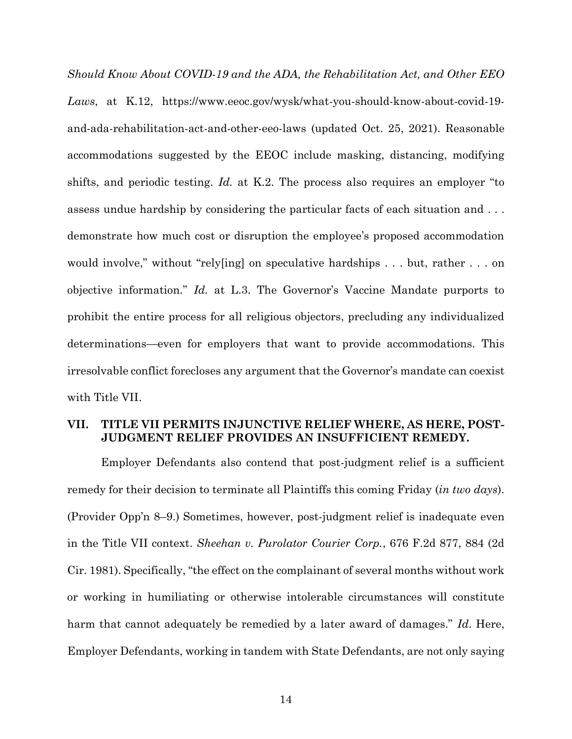*Should Know About COVID-19 and the ADA, the Rehabilitation Act, and Other EEO Laws*, at K.12, https://www.eeoc.gov/wysk/what-you-should-know-about-covid-19 and-ada-rehabilitation-act-and-other-eeo-laws (updated Oct. 25, 2021). Reasonable accommodations suggested by the EEOC include masking, distancing, modifying shifts, and periodic testing. *Id.* at K.2. The process also requires an employer "to assess undue hardship by considering the particular facts of each situation and . . . demonstrate how much cost or disruption the employee's proposed accommodation would involve," without "rely[ing] on speculative hardships . . . but, rather . . . on objective information." *Id.* at L.3. The Governor's Vaccine Mandate purports to prohibit the entire process for all religious objectors, precluding any individualized determinations—even for employers that want to provide accommodations. This irresolvable conflict forecloses any argument that the Governor's mandate can coexist with Title VII.

## **VII. TITLE VII PERMITS INJUNCTIVE RELIEF WHERE, AS HERE, POST-JUDGMENT RELIEF PROVIDES AN INSUFFICIENT REMEDY.**

Employer Defendants also contend that post-judgment relief is a sufficient remedy for their decision to terminate all Plaintiffs this coming Friday (*in two days*). (Provider Opp'n 8–9.) Sometimes, however, post-judgment relief is inadequate even in the Title VII context. *Sheehan v. Purolator Courier Corp.*, 676 F.2d 877, 884 (2d Cir. 1981). Specifically, "the effect on the complainant of several months without work or working in humiliating or otherwise intolerable circumstances will constitute harm that cannot adequately be remedied by a later award of damages." *Id*. Here, Employer Defendants, working in tandem with State Defendants, are not only saying